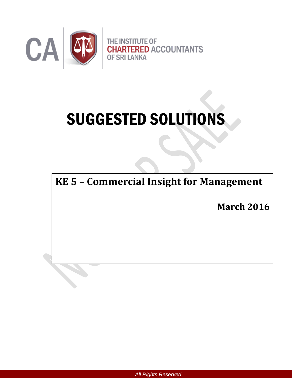

# SUGGESTED SOLUTIONS

**KE 5 – Commercial Insight for Management**

**March 2016**

*All Rights Reserved*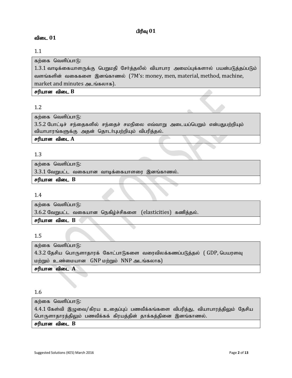# **பிரிவு**  $01$

#### விடை 01

#### 1.1

கற்கை வெளிப்பா $(f)$ :

 $1.3.1$  வாடிக்கையாளருக்கு பெறுமதி சேர்த்தலில் வியாபார அமைப்புக்களால் பயன்படுத்தப்படும் வளங்களின் வகைகளை இனங்காணல் (7M's: money, men, material, method, machine, market and minutes அடங்கலாக).

சரியான விடை  $B$ 

# 1.2

கற்கை வெளிப்பா $f$ :

 $3.5.2$  போட்டிச் சந்தைகளில் சந்தைச் சமநிலை எவ்வாறு அடையப்பெறும் என்பதுபற்றியும் வியாபாரங்களுக்கு அதன் தொடர்புபற்றியும் விபரித்தல்.

சரியான விடை A

# 1.3

கற்கை வெளிப்பா $(f)$ :

 $3.3.1$  வேறுபட்ட வகையான வாடிக்கையாளரை இனங்காணல்.

சரியான விடை **B** 

#### 1.4

கற்கை வெளிப்பா $\mathcal{F}$ : 3.6.2 வேறுபட்ட வகையான நெகிழ்ச்சிகளை (elasticities) கணித்தல். சரியான விடை  $B$ 

#### 1.5

கற்கை வெளிப்பா $\beta$ : 4.3.2 தேசிய பொருளாதாரக் கோட்பாடுகளை வரைவிலக்கணப்படுத்தல் ( GDP, பெயரளவு  $\mu$ ற்றும் உண்மையான  $\mu$ GNP மற்றும் NNP அடங்கலாக) சரியான விடை A

# 1.6

கற்கை வெளிப்பா $(f)$ :  $4.4.1$  கேள்வி இழுவை/கிரய உதைப்புப் பணவீக்கங்களை விபரித்து, வியாபாரத்திலும் தேசிய பொருளாதாரத்திலும் பணவீக்கக் கிரயத்தின் தாக்கத்தினை இனங்காணல். சரியான விடை  $B$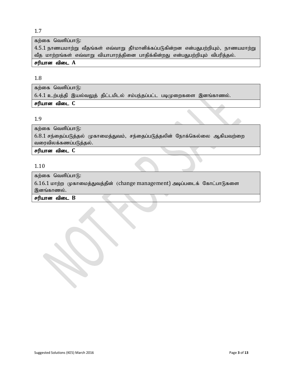#### 1.7

கற்கை வெளிப்பா $(f)$ :

 $4.5.1$  நாணயமாற்று வீதங்கள் எவ்வாறு தீர்மானிக்கப்படுகின்றன என்பதுபற்றியும், நாணயமாற்று வீத மாற்றங்கள் எவ்வாறு வியாபாரத்தினை பாதிக்கின்றது என்பதுபற்றியும் விபரித்தல்.

#### சரியான விடை A

#### 1.8

கற்கை வெளிப்பா $f$ :  $6.4.1$  உற்பத்தி இயல்வலுத் திட்டமிடல் சம்பந்தப்பட்ட படிமுறைகளை இனங்காணல். சரியான விடை C

#### 1.9

கற்கை வெளிப்பா $f$ 6:

6.8.1 சந்தைப்படுத்தல் முகாமைத்துவம், சந்தைப்படுத்தலின் நோக்கெல்லை ஆகியவற்றை வரைவிலக்கணப்படுத்தல்.

சரியான விடை C

# 1.10

கற்கை வெளிப்பா $(f)$ :

6.16.1 மாற்ற முகாமைத்துவத்தின் (change management) அடிப்படைக் கோட்பாடுகளை இனங்காணல்.

#### $F$ ரியான விடை  $B$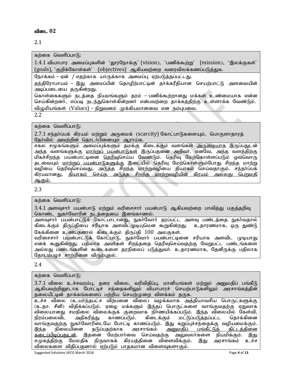# 2.1

கற்கை வெளிப்பா $(f)$ :

 $1.4.1$  வியாபார அமைப்புகளின் 'தூரநோக்கு' (vision), 'பணிக்கூற்று' (mission), 'இலக்குகள்' (goals), 'குறிக்கோள்கள்' (objectives) ஆகியவற்றை வரைவிலக்கணப்படுத்துக.

நோக்கம் – ஏன் / எதற்காக யாருக்காக அமைப்பு ஏற்படுத்தப்பட்டது.

தந்திரோபாயம் – இது அமைப்பின் தொழிற்பாட்டின் தர்க்கரீதியான செயற்பாட்டு அளவையின் அடிப்படையை தருகின்றது.

கொள்கைகளும் நடத்தை நியமங்களும் தரம் – பணிக்கூற்றானது மக்கள் உண்மையாக என்ன செய்கின்றனா், எப்படி நடந்துகொள்கின்றனா் என்பவற்றை தாக்கத்திற்கு உள்ளாக்க வேண்டும். விமுமியங்கள் (Values) – நிறுவனம் முக்கியமானவை என நம்பபவை.

2.2

கற்கை வெளிப்பா $f$ ):

 $2.7.1$  சந்தா்ப்பக் கிரயம் மற்றும் அருமைக் (scarcity) கோட்பாடுகளையும், பொருளாதாரத் தேர்வில் அவற்றின் தொடர்பினையும் ஆராய்க.

சகல சமூகங்களும் அமைப்புக்களும் தமக்கு கிடைக்கும் வளங்கள் <u>அருமையாக</u> இருப்பதுடன் அந்த வளங்களுக்கு <u>மாற்றுப் பயன்பாடுகள்</u> இருப்பதனை அறிவா். எனவே, அந்த வளத்திற்கு மிகச்சிறந்த பயன்பாட்டினை <u>தெரிவு</u>செய்ய வேண்டும். தெரிவு மேற்கொள்ளப்படும் ஒவ்வொரு தடவையும் <u>மாற்றுப் பயன்பாடுகளுக்கு</u> இடையில் தெரிவு மேற்கொள்ளும்போது சிறந்த மாற்று ்வழியை தெரிவுசெய்வது, அடுத்த சிறந்த மாற்றுவழியை தியாகம் செய்வதாகும். சந்தா்ப்பக் கிரயமானது, <u>தியாகம் செய்த அடுக்க சிறந்த மாற்றுவழியின் கிரயம் அல்லது பெறுமதி</u> <u>ஆகும்.</u>

2.3

கற்கை வெளிப்பா $f$ :

 $3.4.1$  அளவுசாா் பயன்பாடு மற்றும் வரிசைசாா் பயன்பாடு ஆகியவற்றை பாவித்து பகுத்தறிவு கொண்ட நுகர்வோரின் நடத்தையை இனங்காணல்.

அளவுசாா் பயன்பாட்டுக் கோட்பாடானது, நுகா்வோா் தரப்பட்ட அளவு பண்டத்தை நுகா்வதால் கிடைக்கும் திருப்தியை சரியாக அளவிடமுடியுமென கூறுகின்றது. உதாரணமாக, ஒரு துண்டு கேக்கினை உண்பதனால் கிடைக்கும் திருப்தி 100 அலகுகள்.

வரிசைசார் பயன்பாட்டுக் கோட்பாடு, நுகர்வோர் பயன்பாட்டினை சரியாக அளவிட முடியாது எனக் கூறுகின்றது. பதிலாக அவர்கள் சிறந்ததை தெரிவுசெய்வதற்கு வேறுபட்ட பண்டங்களை அல்லது பண்டங்களின் கூடைகளை தரநிலைப் படுத்துவர். உதாரணமாக, தேனீருக்கு பதிலாக தோடம்பமச் சாற்றினை விரும்புதல்.

2.4

கற்கை வெளிப்பா $f$ 

 $3.7.1$  விலை உச்சவரம்பு, தரை விலை, வரிவிதிப்பு, மானியங்கள் மற்றும் அனுமதிப் பங்கீடு ஆகியவற்றினூடாக போட்டிச் சந்தைகளிலும் வியாபாரச் செயற்பாடுகளிலும் அரசாங்கத்தின் தலையீட்டின் தாக்கங்களைப் பற்றிய செயற்முறை விளக்கம் தருக.

உச்ச விலை (உயர்ந்தபட்ச விற்பனை விலை) வழக்கமாக அத்தியாவசிய பொருட்களுக்கு (உதா: சீனி) விதிக்கப்படும். ஏமை மக்களும் இந்தப் பொருட்களை வாங்குவதற்கு ஏதுவாக ்விலையானது சமநிலை விலைக்குக் குறைவாக நிர்ணயிக்கப்படும். இந்த விலையில் கேள்வி,<br>நிரம்பலைவிட அதிகரித்து காணப்படும். கிடைக்கும் மட்டுப்படுத்தப்பட்ட தொக்கினை நிரம்பலைவிட அதிகரித்து காணப்படும். கிடைக்கும் மட்டுப்படுத்தப்பட்ட தொக்கினை $\mid$ வாங்குவதற்கு நுகா்வோரிடையே போட்டி காணப்படும். இது கறுப்புச்சந்தைக்கு வழியமைக்கும். $\mid$ இந்த நிலையினை தடுப்பதற்காக அரசாங்கம் <u>அனுமதிப் பங்கீட்டுத் திட்டத்தினை</u><br><u>கடைப்பிடிப்பதுடன்,</u> இதனை மேற்பார்வை செய்வதற்கு அலுவலர்களை நியமிக்கும். இது <u>கடைப்பிடிப்பதுடன்,</u> இதனை மேற்பார்வை செய்வதற்கு சமுகத்திற்கு மேலதிக நிருவாகக் கிரயத்தினை விளைவிக்கும். இது அரசாங்கம் உச்ச விலைகளை விதிப்பதனால் ஏற்படும் பாதகமான விளைவுகளாகும்.

Suggested Solutions (KE5) March 2016 Page **4** of **13**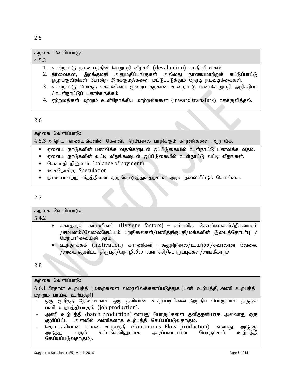|       | கற்கை வெளிப்பாடு:                                                                                                                                    |
|-------|------------------------------------------------------------------------------------------------------------------------------------------------------|
| 4.5.3 |                                                                                                                                                      |
|       | 1. உள்நாட்டு நாணயத்தின் பெறுமதி வீழ்ச்சி (devaluation) – மதிப்பிறக்கம்                                                                               |
|       | 2. தீர்வைகள், இறக்குமதி அனுமதிப்பங்குகள் அல்லது நாணயமாற்றுக் கட்டுப்பாட்டு<br>ஒழுங்குவிதிகள் போன்ற இறக்குமதிகளை மட்டுப்படுத்தும் நேரடி நடவடிக்கைகள். |
|       | 3. உள்நாட்டு மொத்த கேள்வியை குறைப்பதற்கான உள்நாட்டு பணப்பெறுமதி அதிகரிப்பு<br>' உள்நாட்டுப் பணச்சுருக்கம்                                            |
|       | 4. ஏற்றுமதிகள் மற்றும் உள்நோக்கிய மாற்றல்களை (inward transfers) ஊக்குவித்தல்.                                                                        |

# 2.6

 $4.5.3$  அந்நிய நாணயங்களின் கேள்வி, நிரம்பலை பாதிக்கும் காரணிகளை ஆராய்க.

- $\bullet$  ஏனைய நாடுகளின் பணவீக்க வீதங்களுடன் ஒப்பிடுகையில் உள்நாட்டு பணவீக்க வீதம்.
- ஏனைய நாடுகளின் வட்டி வீதங்களுடன் ஒப்பிடுகையில் உள்நாட்டு வட்டி வீதங்கள்.
- சென்மதி நிலுவை (balance of payment)
- ஊகநோக்கு Speculation
- நாணயமாற்று வீதத்தினை ஒழுங்குபடுத்துவதற்கான அரச தலையீட்டுக் கொள்கை.

# 2.7

கற்கை வெளிப்பா $\beta$ :

கற்கை வெளிப்பா $f$ :

# 5.4.2

- சுகாதூரக் காரணிகள் (Hygiene factors) கம்பனிக் கொள்கைகள்/நிருவாகம் /சம்பளம்/வேலைசெய்யும் புறநிலைகள்/பணித்திருப்தி/மக்களின் இடைத்தொடர்பு / மேற்பாா்வையின் தரம்
- உந்தூக்கக் (motivation) காரணிகள் தகுதிநிலை/உயர்ச்சி/சவாலான வேலை  $/$ அடைந்துவிட்ட திருப்தி $/$ தொழிலில் வளர்ச்சி $/$ பொறுப்புக்கள் $/$ அங்கீகாரம்

2.8

| கற்கை வெளிப்பாடு: |
|-------------------|
|                   |

 $6.6.1$  பிரதான உற்பத்தி முறைகளை வரைவிலக்கணப்படுத்துக (பணி உற்பத்தி, அணி உற்பத்தி மற்றும் பாய்வு உற்பத்தி)

- ஒரு குறித்த தேவைக்காக ஒரு தனியான உருப்படியினை இறுதிப் பொருளாக தருதல் பணி உற்பத்தியாகும் (job production).
- அணி உற்பத்தி (batch production) என்பது பொருட்களை தனித்தனியாக அல்லாது ஒரு குறிப்பிட்ட அளவில் அணிகளாக உற்பத்தி செய்யப்படுவதாகும்.
- தொடர்ச்சியான பாய்வு உற்பத்தி (Continuous Flow production) என்பது, அடுத்து<br>அடுத்து வரும் கட்டங்களினூடாக அடிப்படையான பொருட்கள் உற்பத்தி அடுத்து வரும் கட்டங்களினூடாக செய்யப்படுவதாகும்).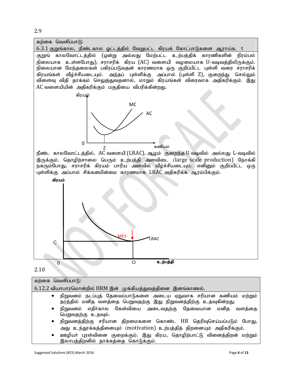2.9



| கற்கை வெளிப்பாடு:                                                                                                                                       |  |  |  |  |  |
|---------------------------------------------------------------------------------------------------------------------------------------------------------|--|--|--|--|--|
| 6.12.2 வியாபாரமொன்றில் HRM இன் முக்கியத்துவத்தினை இனங்காணல்.                                                                                            |  |  |  |  |  |
| நிறுவனம் நடப்புத் தேவைப்பாடுகளை அடைய ஏதுவாக சரியான கணியம் மற்றும்<br>$\bullet$<br>தரத்தில் மனித வளத்தை பெறுவதற்கு இது நிறுவனத்திற்கு உதவுகின்றது.       |  |  |  |  |  |
| நிறுவனம் எதிர்கால கேள்வியை அடைவதற்கு தேவையான மனித<br>வளக்கை<br>$\bullet$<br>பெறுவதற்கு உதவும்.                                                          |  |  |  |  |  |
| நிறுவனத்திற்கு சரியான திறமைகளை கொண்ட HR தெரிவுசெய்யப்படும் போது,<br>$\bullet$<br>அது உந்தூக்கத்தினையும் (motivation) உற்பத்தித் திறனையும் அதிகரிக்கும். |  |  |  |  |  |
| ஊழியா் புரள்வினை குறைக்கும். இது கிரய, தொழிற்பாட்டு வினைத்திறன் மற்றும்<br>$\bullet$<br>இலாபத்திறனில் தாக்கத்தை கொடுக்கும்.                             |  |  |  |  |  |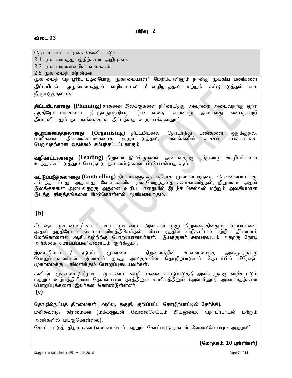தொடர்புபட்ட கற்கை வெளிப்பாடு :

 $2.1$  (முகாமைத்துவத்திற்கான அறிமுகம்.

 $2.3$  முகாமையாளரின் வகைகள்

 $2.5$  முகாமைத் திறன்கள்

முகாமைத் தொழிற்பாட்டின்போது முகாமையாளர் மேற்கொள்ளும் நான்கு முக்கிய பணிகளை **திட்டமிடல், ஒழுங்கமைத்தல் வழிகாட்டல் / வழிநடத்தல்** மற்றும் <mark>கட்டுப்படுத்தல்</mark> என நிரற்படுத்தலாம்.

**திட்டமிடலானது (Planning)** சாதனை இலக்குகளை நிர்ணயித்து அவற்றை அடைவதற்கு ஏற்ற தந்திரோபாயங்களை தீட்டுவதுபற்றியது (i.e. எதை, எவ்வாறு அடைவது என்பதுபற்றி தீர்மானிப்பதும் நடவடிக்கை்கான திட்டத்தை உருவாக்குவதும்).

**ஒழுங்கமைத்தலானது (Organising)** திட்டமிடலை தொடர்ந்து பணிகளை ஒதுக்குதல்,<br>பணிகளை திணைக்களங்களாக குழுமப்படுத்தல், வளங்களின் உச்சப் பயன்பாட்டை திணைக்களங்களாக பெறுவதற்கான ஒதுக்கம் சம்பந்தப்பட்டதாகும்.

**வழிகாட்டலானது (Leading)** நிறுவன இலக்குகளை அடைவதற்கு ஏற்றவாறு ஊழியர்களை உந்தூக்கப்படுத்தும் பொருட்டு தலையீடுகளை பிரயோகிப்பதாகும்.

கட்டுப்படுத்தலானது (Controlling) திட்டங்களுக்கு எதிராக முன்னேற்றத்தை செவ்வைபார்ப்பது சம்பந்தப்பட்டது. அதாவது, வேலைகளின் முன்னேற்றத்தை கண்காணித்தல், நிறுவனம் அதன் இலக்குகளை அடைவதற்கு அதனை உரிய பாதையில் இட்டுச் செல்லல் மற்றும் அவசியமான இடத்து திருத்தங்களை மேற்கொள்ளல் ஆகியனவாகும்.

# **(b)**

சிரேஷ்ட முகாமை / உயர் மட்ட முகாமை – இவர்கள் முழு நிறுவனத்தினதும் மேற்பார்வை, அதன் தந்திரோபாயங்களை விருத்திசெய்தல், வியாபாரத்தின் வழிகாட்டல் பற்றிய தீா்மானம் மேற்கொள்ளல் ஆகியவற்றிற்கு பொறுப்பானவா்கள். (இயக்குனா் சபையையும் அதற்கு நேரடி அறிக்கை சமா்ப்பிப்பவா்களையும் குறிக்கும்).

இடைநிலை / நடுமட்ட முகாமை – நிறுவனத்தின் உள்ளமைந்த அலகுகளுக்கு<br>பொறுப்பானவர்கள். இவர்கள் தமது அலகுகளின் தொழிற்பாடுகள் கொடர்பில் சிரேஷ்ட பொறுப்பானவர்கள். இவர்கள் தமது அலகுகளின் தொழிற்பாடுகள் தொடர்பில் சிரேஷ்ட முகாமைக்கு பதிலளிக்கும் பொறுப்புடையவர்கள்.

கனிஷ்ட முகாமை / கீழ்மட்ட முகாமை – ஊழியா்களை கட்டுப்படுத்தி அவா்களுக்கு வழிகாட்டும் மற்றும் உற்பத்தியினை தேவையான தரத்திலும் கணியத்திலும் (அளவிலும்) அடைவதற்கான பொறுப்புக்களை இவர்கள் கொண்டுள்ளனர்.

**(c)**

தொழில்நுட்பத் திறமைகள் (அறிவு, தகுதி, குறிப்பிட்ட தொழிற்பாட்டில் தேர்ச்சி). மனிதவளத் திறமைகள் (மக்களுடன் வேலைசெய்யும் இயலுமை, தொடர்பாடல் மற்றும் அணிகளில் பங்குகொள்ளல்).

கோட்பாட்டுத் திறமைகள் (எண்ணங்கள் மற்றும் கோட்பாடுகளுடன் வேலைசெய்யும் ஆற்றல்)

 $($ மொத்தம்: 10 புள்ளிகள்)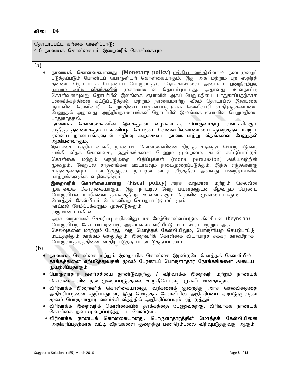தொடர்புபட்ட கற்கை வெளிப்பாடு:  $4.6$  நாணயக் கொள்கையும் இறைவரிக் கொள்கையும் (a) நாணயக் கொள்கையானது (Monetary policy) <u>மத்திய வங்கி</u>யினால் நடைமுறைப் படுத்தப்படும் <u>பேரண்டப் பொருளியற் கொள்கையாகும்</u>. இது <u>அக மற்றும் பற ஸ்</u>கிரக் <u>தன்மை</u> தொடா்பாக பேரண்டப் பொருளாதார நோக்கங்களை அடையும் <mark>பணநிரம்பல்</mark><br>மற்றும் **வட்டி வீதங்களின்** முகாமையுடன் தொடா்புபட்டது. அதாவது, உள்நாட்டு .<br><u>மற்றும் **வட்டீ வீதங்களின்** மு</u>காமையுடன் தொடா்புபட்டது. அதாவது, கொள்வனவுவலு தொடா்பில் இலங்கை ரூபாவின் அகப் பெறுமதியை பாதுகாப்பதற்காக பணவீக்கத்தினை கட்டுப்படுத்தல், மற்றும் நாணயமாற்று வீதம் தொடா்பில் இலங்கை ரூபாவின் வெளிவாரிப் பெறுமதியை பாதுகாப்பதற்காக வெளிவாரி ஸ்திரத்தக்மையை பேணுதல் அதாவது, அந்நியநாணயங்கள் தொடர்பில் இலங்கை ரூபாவின் பெறுமதியை பாதுகாத்தல்.<br>நாணயக் டெ <u>கொள்கைகளின் இலக்குகள் வழக்கமாக, பொருளாதார வளர்ச்சிக்கும்</u> ்ஸ்கிாக் கன்மைக்கும் பங்களிப்பச் செய்கல். வேலையில்லாமையை குறைக்கல் மற்றும் ஏனைய நாணயங்களுடன் எதிர்வு கூறக்கூடிய நாணயமாற்று வீதங்களை பேணுதல் ஆகியனவாகும். இலங்கை மத்திய வங்கி, நாணயக் கொள்கையினை திறந்த சந்தைச் செயற்பாடுகள், வங்கி வீதக் கொள்கை, ஒதுக்கங்களை பேணும் முறைமை, கடன் கட்டுப்பாட்டுக் கொள்கை மற்றும் நெறிமுறை விதிப்புக்கள் (moral persuasion) அகியவற்றின் மூலமும், வேறுபல சாதனங்கள் ஊடாகவும் நடைமுறைப்படுத்தும். இந்த எந்தவொரு சாதனத்தையும் பயன்படுத்துதல், நாட்டின் வட்டி வீதத்தில் அல்லது பணநிரம்பலில் மாற்றங்களுக்கு வழிவகுக்கும். **இறைவரிக் கொள்கையானது (Fiscal policy)** அரச வருமான மற்றும் செலவின ...<br>முகாமைக் கொள்கையாகும். இது நாட்டில் வேறு பயன்களுடன் கீழ்வரும் பேரண்ட பொருளியல் மாறிகளை தாக்கத்திற்கு உள்ளாக்கும் செலவின முகாமையாகும். மொத்தக் கேள்வியும் பொருளியற் செயற்பாட்டு மட்டமும். நாட்டில் சேமிப்புக்களும் முதலீடுகளும். வருமானப் பகிர்வு. அரச வருமானச் சேகரிப்பு வரிகளிரைடாக மேற்கொள்ளப்படும். கீன்சியன் (Keynsian) பொருளியற் கோட்பாட்டின்படி, அரசாங்கம் வரியீட்டு மட்டங்கள் மற்றும் அரச செலவுகளை மாற்றும் போது, அது மொத்தக் கேள்வியிலும், பொருளியற் செயற்பாட்டு மட்டத்திலும் தாக்கம் செலுத்தும். இறைவரிக் கொள்கை வியாபாரச் சக்கர காலமீறாக பொருளாதாரத்தினை ஸ்திரப்படுத்த பயன்படுத்தப்படலாம். (b) நாணயக் கொள்கை மற்றும் இறைவரிக் கொள்கை இரண்டுமே மொத்தக் கேள்வியில் தாக்கத்தினை ஏற்படுத்துவதன் மூலம் பேரண்டப் பொருளாதார நோக்கங்களை அடைய முயற்சிப்பதாகும்.  $\bullet$  பொருளாதார வளர்ச்சியை தூண்டுவதற்கு / விரிவாக்க இறைவரி மற்றும் நாணயக் கொள்கைகளின் நடைமுறைப்படுத்தலை உறுதிசெய்வது முக்கியமானதாகும். • விரிவாக்க இறைவரிக் கொள்கையானது, வரிகளைக் குறைத்து அரச செலவினத்தை அதிகரிப்பதனை குறிப்பதுடன், இது மொத்தக் கேள்வியில் அதிகரிப்பை ஏற்படுத்துவதன் மூலம் பொருளாதார வளா்ச்சி வீதத்தில் அதிகரிப்பையும் ஏற்படுத்தும்.  $\bullet$  விரிவாக்க இறைவரிக் கொள்கையின் தாக்கத்தை பேணுவதற்கு, விரிவாக்க நாணயக் கொள்கை நடைமுறைப்படுத்தப்பட வேண்டும்.

• விரிவாக்க நாணயக் கொள்கையானது, பொருளாதாரத்தின் மொத்தக் கேள்வியினை அதிகரிப்பதற்காக வட்டி வீதங்களை குறைத்து பணநிரம்பலை விரிவுபடுத்துவது ஆகும்.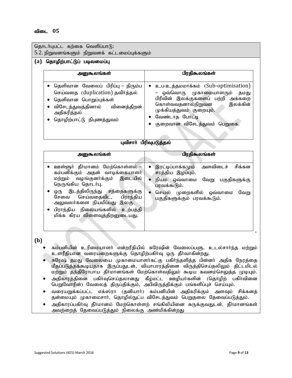| தொடர்புபட்ட கற்கை வெளிப்பாடு:                                                                                                                                                                                                                                                                                       |                                                                                                                                                                                                                         |  |  |  |  |  |  |  |
|---------------------------------------------------------------------------------------------------------------------------------------------------------------------------------------------------------------------------------------------------------------------------------------------------------------------|-------------------------------------------------------------------------------------------------------------------------------------------------------------------------------------------------------------------------|--|--|--|--|--|--|--|
| 5.2. நிறுவனங்களும் நிறுவனக் கட்டமைப்புக்களும்                                                                                                                                                                                                                                                                       |                                                                                                                                                                                                                         |  |  |  |  |  |  |  |
| தொழிற்பாட்டுப் படிவமைப்பு<br>(a)                                                                                                                                                                                                                                                                                    |                                                                                                                                                                                                                         |  |  |  |  |  |  |  |
| அனுகூலங்கள்                                                                                                                                                                                                                                                                                                         | பிரதிகூலங்கள்                                                                                                                                                                                                           |  |  |  |  |  |  |  |
| தெளிவான வேலைப் பிரிப்பு – திரும்ப<br>செய்வதை (duplication) தவிர்த்தல்<br>தெளிவான பொறுப்புக்கள்<br>$\bullet$<br>விசேடத்துவத்தினால் வினைத்திறன்<br>அதிகரித்தல்<br>தொழிற்பாட்டு நிபுணத்துவம்                                                                                                                           | உப-உத்தமமாக்கம் (Sub-optimisation)<br>ஒவ்வொரு முகாமையாளரும்<br>தமது<br>பிரிவின் இலக்குகளைப் பற்றி அக்கறை<br>கொள்வவதனால்நிறுவன<br>இலக்கின்<br>முக்கியத்துவம் குறையும்.<br>வேண்டாத போட்டி<br>குறைவான விசேடத்துவம் பெறுகை. |  |  |  |  |  |  |  |
|                                                                                                                                                                                                                                                                                                                     | புவிசாா் பிரிவுபடுத்தல்                                                                                                                                                                                                 |  |  |  |  |  |  |  |
| அனுகூலங்கள்                                                                                                                                                                                                                                                                                                         | பிரதிகூலங்கள்                                                                                                                                                                                                           |  |  |  |  |  |  |  |
| <u>ஊள்ளூா்</u> தீா்மானம் மேற்கொள்ளல் –<br>கம்பனிக்கும் அதன் வாடிக்கையாளர்<br>வழங்குனர்க்கும் இடையில்<br>மற்றும்<br>நெருங்கிய தொடர்பு.<br>இடத்திலிருந்து சந்தைகளுக்கு<br>ஒரு<br>பிராந்திய<br>செய்வதைவிட,<br>சேவை<br>அலுவலா்களை நியமிப்பது இலகு.<br>பிராந்திய நிலையங்களில் உற்பத்தி<br>மிக்க கிரய விளைவுத்திறனுடையது. | அளவிடைச்<br>சிக்கன<br>இரட்டிப்பாக்கமும்<br>$\bullet$<br>சாத்திய இழப்பும்.<br>நியம ஒவ்வாமை<br>வேறு<br>பகுதிகளுக்கு<br>பரவக்கூடும்.<br>செயல் முறைகளில் ஒவ்வாமை<br>வேறு<br>பகுதிகளுக்கும் பரவக்கூடும்.                     |  |  |  |  |  |  |  |
| (b)<br>உளரீதியான வரையறைகளுக்கு தொழிற்பகிர்வு ஒரு தீர்வாகின்றது.                                                                                                                                                                                                                                                     | கம்பனியின் உரிமையாளர் என்றரீதியில் சுரேஷின் வேலைப்பளு, உடல்சார்ந்த மற்றும்                                                                                                                                              |  |  |  |  |  |  |  |

- சுரேஷ் தமது வேலையை முகாமையாளர்கட்கு பகிர்ந்தளித்த பின்னர் அதிக நேரத்தை ்<br>மீதப்படுத்தக்கூடியதாக இருப்பதுடன், வியாபாரத்தினை விருத்திசெய்தலிலும் திட்டமிடல் மற்றும் தந்திரோபாய தீர்மானங்கள் மேற்கொள்வதிலும் கூடிய கவனம்செலுத்த முடியும்.
- அதிகாரத்தினை பகிர்வுசெய்தலானது கீழ்மட்ட ஊழியர்களின் (தொழிற் பகிர்வினை ொறுவோரின்) வேலைத் திருபதிக்கும், அபிவிருத்திக்கும் பங்களிப்புச் செய்யும்.
- வரையறுக்கப்பட்ட எக்ஸ்ரா (தனியாா்) கம்பனியின் அதிகரிக்கும் அளவும் சிக்கனத் தன்மையும் முகாமைசார், தொழில்நுட்ப விசேடத்துவம் பெறுதலை தேவைப்படுத்தும்.
- அதிகாரப்பகிர்வு தீர்மானம் மேற்கொள்ளற் சங்கிலியினை சுருக்குவதுடன், தீர்மானங்கள் அவற்றைத் தேவைப்படுத்தும் நிலைக்கு அண்மிக்கின்றது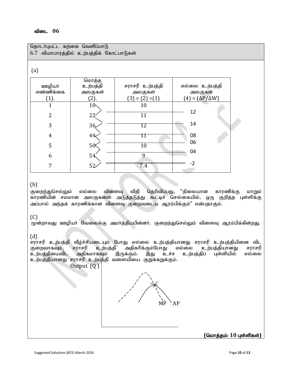| தொடர்புபட்ட கற்கை வெளிப்பாடு             |                 |                      |                               |  |  |  |  |  |  |  |
|------------------------------------------|-----------------|----------------------|-------------------------------|--|--|--|--|--|--|--|
| 6.7 வியாபாரத்தில் உற்பத்திக் கோட்பாடுகள் |                 |                      |                               |  |  |  |  |  |  |  |
|                                          |                 |                      |                               |  |  |  |  |  |  |  |
| (a)                                      |                 |                      |                               |  |  |  |  |  |  |  |
|                                          | மொத்த           |                      |                               |  |  |  |  |  |  |  |
| <b>உள்</b> டுரா                          | உற்பத்தி        | சராசரி உற்பத்தி      | எல்லை உற்பத்தி                |  |  |  |  |  |  |  |
| எண்ணிக்கை                                | அலகுகள்         | அலகுகள்              | அலகுகள்                       |  |  |  |  |  |  |  |
| (1).                                     | (2).            | $(3) = (2) \div (1)$ | $(4) = (\Delta P / \Delta W)$ |  |  |  |  |  |  |  |
| $\overline{1}$                           | 10 <sub>1</sub> | 10                   |                               |  |  |  |  |  |  |  |
| $\overline{2}$                           | 22 <sup>2</sup> | 11                   | 12                            |  |  |  |  |  |  |  |
| 3                                        | 36              | 12                   | 14                            |  |  |  |  |  |  |  |
|                                          |                 |                      |                               |  |  |  |  |  |  |  |
| $\overline{4}$                           | 44              | П                    | 08                            |  |  |  |  |  |  |  |
| 5                                        | 50 <sup>k</sup> | $\overline{10}$      | 06                            |  |  |  |  |  |  |  |
|                                          |                 |                      | 04                            |  |  |  |  |  |  |  |
| 6                                        | 54              | 9                    |                               |  |  |  |  |  |  |  |
| 7                                        | 52              | 7.4                  | $-2$                          |  |  |  |  |  |  |  |
|                                          |                 |                      |                               |  |  |  |  |  |  |  |

# (b)

குறைந்துசெல்லும் எல்லை விளைவு விதி தெரிவிப்பது, "நிலையான காரணிக்கு மாறும் காரணியின் சமமான அலகுகளை அடுத்தடுத்து கூட்டிச் செல்கையில், ஒரு குறித்த புள்ளிக்கு அப்பால் அந்தக் காரணிக்கான விளைவு குறைவடைய ஆரம்பிக்கும்" என்பதாகும்.

# (C)

முன்றாவது ஊழியா் வேலைக்கு அமா்த்தியபின்னா். குறைந்துசெல்லும் விளைவு ஆரம்பிக்கின்றது.

# (d)

சராசரி உற்பத்தி வீழ்ச்சியடையும் போது எல்லை உற்பத்தியானது சராசரி உற்பத்தியினை விட<br>குறைவாகவும், சராசரி உற்பத்தி அதிகரிக்கும்போது எல்லை உற்பத்தியானது சராசரி ராசரி உற்பத்தி அதிகரிக்கும்போது எல்லை உற்பத்தியானது சராசரி<br>அதிகமாகவும் இருக்கும். இது உச்ச உற்பத்திப் புள்ளியில் எல்லை உற்பத்தியைவிட உற்பத்தியானது சராசரி உற்பத்தி வளையியை குறுக்கறுக்கும்.

Output (Q)



 $($ மொத்தம்: 10 புள்ளிகள்)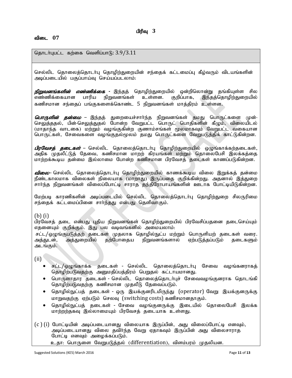தொடர்புபட்ட கற்கை வெளிப்பாடு:  $3.9/3.11$ 

செல்லிட தொலைத்தொடா்பு தொழிற்துறையின் சந்தைக் கட்டமைப்பு கீழ்வரும் விடயங்களின் அடிப்படையில் பகுப்பாய்வு செய்யப்படலாம்:

*நிறுவனங்களின் எண்ணிக்கை -* இந்தத் தொழிற்துறையில் ஒன்றிலொன்று தங்கியுள்ள சில<br>எண்ணிக்கையான பாரிய நிறுவனங்கள் உள்ளன. குறிப்பாக, இந்தத்தொழிற்துறையில் எண்ணிக்கையான பாரிய நிறுவனங்கள் உள்ளன. குறிப்பாக, இந்தத்தொழிற்துறையில் கணிசமான சந்தைப் பங்குகளைக்கொண்ட 5 நிறுவனங்கள் மாத்திரம் உள்ளன.

*பொருளின் தன்மை –* இந்தத் துறையைச்சாா்ந்த நிறுவனங்கள் தமது பொருட்களை முன்-செலுத்ததல், பின்-செலுத்துதல் போன்ற வேறுபட்ட பொருட் பொதிகளின் கீழும், விலையிடல் (மாதாந்த வாடகை) மற்றும் வழங்குகின்ற குணாம்சங்கள் மூலமாகவும் வேறுபட்ட வகையான பொருட்கள், சேவைகளை வழங்குதல்மூலம் தமது பொருட்களை வேறுபடுத்திக் காட்டுகின்றன.

*பிரவேசத் தடைகள்* – செல்லிட தொலைத்தொடர்பு தொழிற்துறையில் ஒழுங்காக்கற்தடைகள், .<br>அதிக முதலீட்டுத் தேவை, கணிசமான மாறற் கிரயங்கள் மற்றும் தொலைபேசி இலக்கத்தை மாற்றக்கூடிய தன்மை இல்லாமை போன்ற கணிசமான பிரவேசத் தடைகள் காணப்படுகின்றன.

<mark>விலை</mark>– செல்லிட தொலைத்தொடர்பு தொழிற்துறையில் காணக்கூடிய விலை இறுக்கத் தன்மை நீண்டகாலமாக விலைகள் நிலையாக (மாறாது) இருப்பதை குறிக்கின்றது. அதனால் இத்துறை சாா்ந்த நிறுவனங்கள் விலைப்போட்டி சாராத தந்திரோபாயங்களின் ஊடாக போட்டியிடுகின்றன.

மேற்படி காரணிகளின் அடிப்படையில் செல்லிட தொலைத்தொடர்பு தொழிற்துறை சிலருரிமை சந்தைக் கட்டமைப்பினை சாா்ந்தது என்பது தெளிவாகும்.

# (b) (i)

பிரவேசத் தடை என்பது புதிய நிறுவனங்கள் தொழிற்துறையில் பிரவேசிப்பதனை தடைசெய்யும் எதனையும் குறிக்கும். இது பல வடிவங்களில் அமையலாம்:

சட்ட/ஒழுங்குபடுத்தற் தடைகள் முதலாக தொழில்நுட்ப மற்றும் பொருளியற் தடைகள் வரை.<br>அத்துடன், அத்துறையில் தற்போதைய நிறுவனங்களால் ஏற்படுத்தப்படும் தடைகளும் ஏற்படுத்தப்படும் அடங்கும்.

 $(ii)$ 

- சட்ட/ஒழுங்காக்க தடைகள் செல்லிட தொலைத்தொடர்பு சேவை வழங்கனராகத் தொழிற்படுவதற்கு அனுமதிப்பத்திரம் பெறுதல் கட்டாயமானது.
- பொருளாதார தடைகள் செல்லிட தொலைத்தொடர்புச் சேவைவமங்குனராக தொடங்கி தொழிற்படுவதற்கு கணிசமான முதலீடு தேவைப்படும்.
- தொழில்நுட்பத் தடைகள் ஒரு இயக்குனரிடமிருந்து (operator) வேறு இயக்குனருக்கு மாறுவதற்கு ஏற்படும் செலவு (switching costs) கணிசமானதாகும்.
- தொழில்நுட்பத் தடைகள் சேவை வழங்குனருக்கு இடையில் தொலைபேசி இலக்க மாற்றற்தகவு இல்லாமையும் பிரவேசத் தடையாக உள்ளது.
- (c ) (i) போட்டியின் அடிப்படையானது விலையாக இருப்பின், அது விலைப்போட்டி எனவும், அடிப்படையானது விலை தவிா்ந்த வேறு ஏதாகவும் இருப்பின் அது விலைசாராத போட்டி எனவும் அழைக்கப்படும்.
	- உதா: பொருளை வேறுபடுத்தல் (differentiation), விளம்பரம் முதலியன.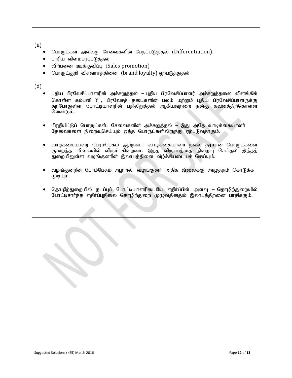(ii)

- பொருட்கள் அல்லது சேவைகளின் பேதப்படு:த்தல் (Differentiation).
- பாரிய விளம்பரப்படுத்தல்
- விற்பனை ஊக்குவிப்பு (Sales promotion)
- பொருட்குறி விசுவாசத்தினை (brand loyalty) ஏற்படுத்துதல்

# (d)

- புதிய பிரவேசிப்பாளரின் அச்சுறுத்தல் புதிய பிரவேசிப்பாளர் அச்சுறுத்தலை விளங்கிக் கொள்ள கம்பனி Y , பிரவேசத் தடைகளின் பலம் மற்றும் புதிய பிரவேசிப்பாளருக்கு தற்போதுள்ள போட்டியாளரின் பதிலிறுத்தல் ஆகியவற்றை நன்கு கவனத்திற்கொள்ள வேண்டும்.
- பிரதியீட்டுப் பொருட்கள், சேவைகளின் அச்சுறுத்தல் இது அதே வாடிக்கையாளா் தேவைகளை நிறைவுசெய்யும் ஒத்த பொருட்களிலிருந்து ஏற்படுவதாகும்.
- வாடிக்கையாளர் பேரம்பேசும் ஆற்றல் வாடிக்கையாளர் நல்ல தரமான பொருட்களை குறைந்த விலையில் விரும்புகின்றனா். இந்த விருப்பத்தை நிறைவு செய்தல் இந்தத் துறையிலுள்ள வழங்குனரின் இலாபத்தினை வீழ்ச்சியடையச் செய்யும்.
- வழங்குனரின் பேரம்பேசும் ஆற்றல் வழங்குனா் அதிக விலைக்கு அழுத்தம் கொடுக்க  $(\mu\mu\mu)$ .
- தொழிற்துறையில் நடப்புப் போட்டியாளரிடையே எதிர்ப்பின் அளவு தொழிற்துறையில் போட்டிசாா்ந்த எதிா்ப்புநிலை தொழிற்துறை முழுவதினதும் இலாபத்திறனை பாதிக்கும்.